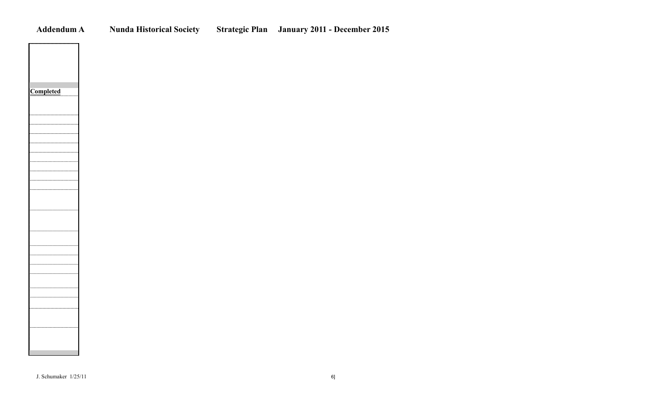**Addendum A Nunda Historical Society Strategic Plan January 2011 - December 2015**

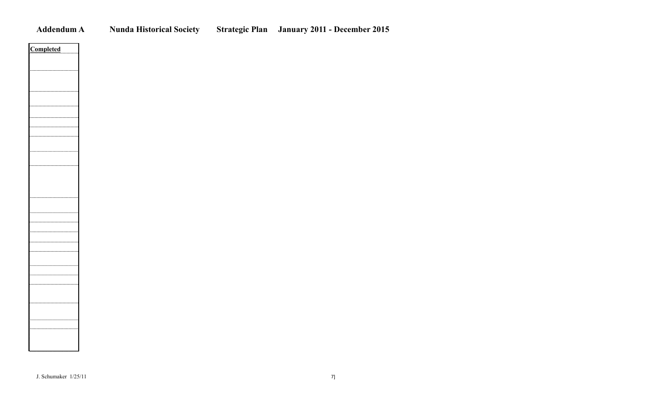**A** Nunda Historical Society Strategic Plan January 2011 - December 2015

| mpleted<br>ń |
|--------------|
|              |
|              |
|              |
|              |
|              |
|              |
|              |
|              |
|              |
|              |
|              |
|              |
|              |
|              |
|              |
|              |
|              |
|              |
|              |
|              |
|              |
|              |
|              |
|              |
|              |
|              |
|              |
|              |
|              |
|              |
|              |
|              |
|              |
|              |
|              |
|              |
|              |
|              |
|              |
|              |
|              |
|              |
|              |
|              |
|              |
|              |
|              |
|              |
|              |
|              |
|              |
|              |
|              |
|              |
|              |
|              |
|              |
|              |
|              |
|              |
|              |
|              |
|              |
|              |
|              |
|              |
|              |
|              |
|              |
|              |
|              |
|              |
|              |
|              |
|              |
|              |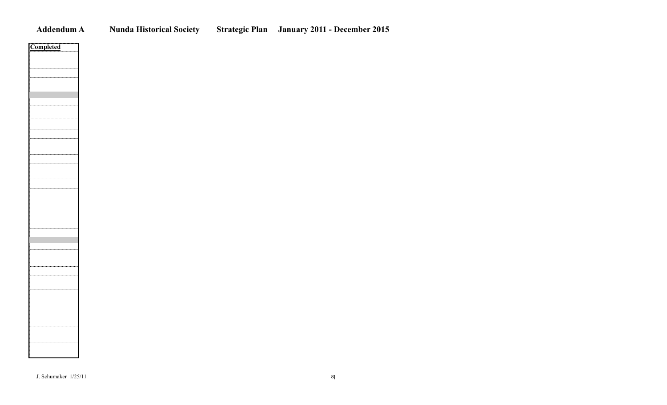| Addendum |
|----------|
|          |

**A** Nunda Historical Society Strategic Plan January 2011 - December 2015

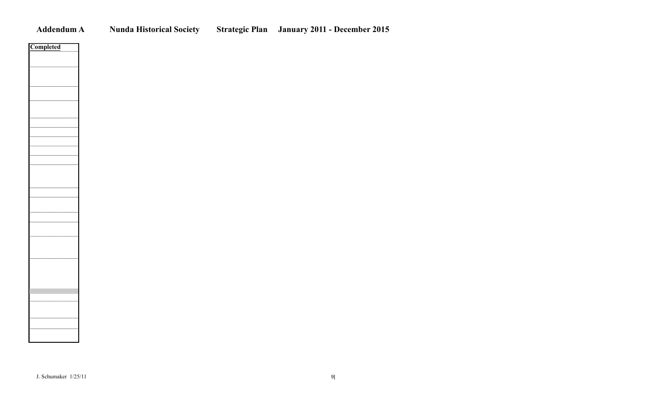**Addendum A Nunda Historical Society Strategic Plan January 2011 - December 2015**